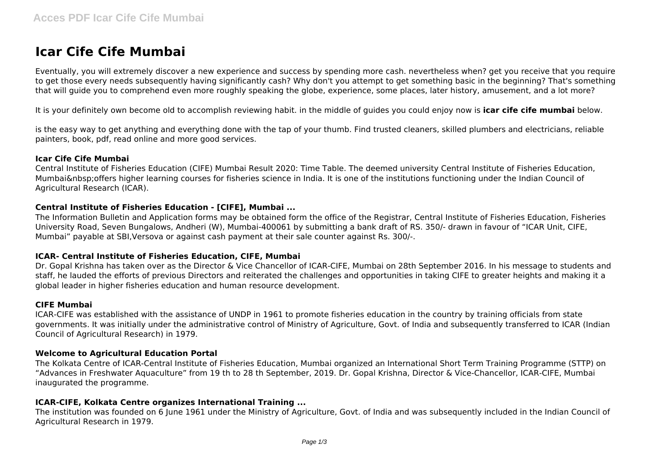# **Icar Cife Cife Mumbai**

Eventually, you will extremely discover a new experience and success by spending more cash. nevertheless when? get you receive that you require to get those every needs subsequently having significantly cash? Why don't you attempt to get something basic in the beginning? That's something that will guide you to comprehend even more roughly speaking the globe, experience, some places, later history, amusement, and a lot more?

It is your definitely own become old to accomplish reviewing habit. in the middle of guides you could enjoy now is **icar cife cife mumbai** below.

is the easy way to get anything and everything done with the tap of your thumb. Find trusted cleaners, skilled plumbers and electricians, reliable painters, book, pdf, read online and more good services.

#### **Icar Cife Cife Mumbai**

Central Institute of Fisheries Education (CIFE) Mumbai Result 2020: Time Table. The deemed university Central Institute of Fisheries Education, Mumbai&nbsp:offers higher learning courses for fisheries science in India. It is one of the institutions functioning under the Indian Council of Agricultural Research (ICAR).

#### **Central Institute of Fisheries Education - [CIFE], Mumbai ...**

The Information Bulletin and Application forms may be obtained form the office of the Registrar, Central Institute of Fisheries Education, Fisheries University Road, Seven Bungalows, Andheri (W), Mumbai-400061 by submitting a bank draft of RS. 350/- drawn in favour of "ICAR Unit, CIFE, Mumbai" payable at SBI,Versova or against cash payment at their sale counter against Rs. 300/-.

#### **ICAR- Central Institute of Fisheries Education, CIFE, Mumbai**

Dr. Gopal Krishna has taken over as the Director & Vice Chancellor of ICAR-CIFE, Mumbai on 28th September 2016. In his message to students and staff, he lauded the efforts of previous Directors and reiterated the challenges and opportunities in taking CIFE to greater heights and making it a global leader in higher fisheries education and human resource development.

#### **CIFE Mumbai**

ICAR-CIFE was established with the assistance of UNDP in 1961 to promote fisheries education in the country by training officials from state governments. It was initially under the administrative control of Ministry of Agriculture, Govt. of India and subsequently transferred to ICAR (Indian Council of Agricultural Research) in 1979.

#### **Welcome to Agricultural Education Portal**

The Kolkata Centre of ICAR-Central Institute of Fisheries Education, Mumbai organized an International Short Term Training Programme (STTP) on "Advances in Freshwater Aquaculture" from 19 th to 28 th September, 2019. Dr. Gopal Krishna, Director & Vice-Chancellor, ICAR-CIFE, Mumbai inaugurated the programme.

#### **ICAR-CIFE, Kolkata Centre organizes International Training ...**

The institution was founded on 6 June 1961 under the Ministry of Agriculture, Govt. of India and was subsequently included in the Indian Council of Agricultural Research in 1979.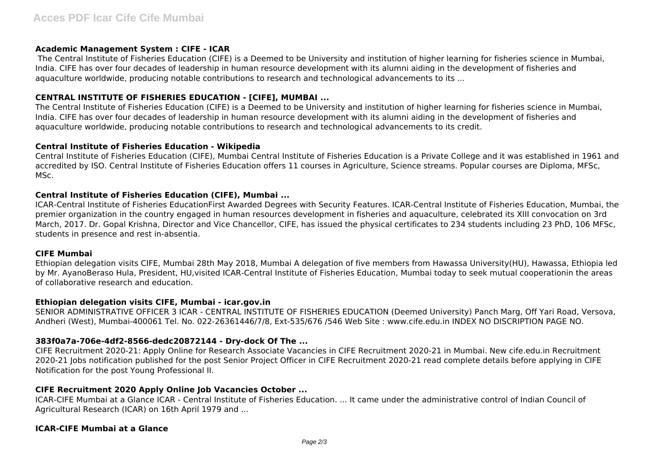#### **Academic Management System : CIFE - ICAR**

 The Central Institute of Fisheries Education (CIFE) is a Deemed to be University and institution of higher learning for fisheries science in Mumbai, India. CIFE has over four decades of leadership in human resource development with its alumni aiding in the development of fisheries and aquaculture worldwide, producing notable contributions to research and technological advancements to its ...

## **CENTRAL INSTITUTE OF FISHERIES EDUCATION - [CIFE], MUMBAI ...**

The Central Institute of Fisheries Education (CIFE) is a Deemed to be University and institution of higher learning for fisheries science in Mumbai, India. CIFE has over four decades of leadership in human resource development with its alumni aiding in the development of fisheries and aquaculture worldwide, producing notable contributions to research and technological advancements to its credit.

#### **Central Institute of Fisheries Education - Wikipedia**

Central Institute of Fisheries Education (CIFE), Mumbai Central Institute of Fisheries Education is a Private College and it was established in 1961 and accredited by ISO. Central Institute of Fisheries Education offers 11 courses in Agriculture, Science streams. Popular courses are Diploma, MFSc, MSc.

## **Central Institute of Fisheries Education (CIFE), Mumbai ...**

ICAR-Central Institute of Fisheries EducationFirst Awarded Degrees with Security Features. ICAR-Central Institute of Fisheries Education, Mumbai, the premier organization in the country engaged in human resources development in fisheries and aquaculture, celebrated its XIII convocation on 3rd March, 2017. Dr. Gopal Krishna, Director and Vice Chancellor, CIFE, has issued the physical certificates to 234 students including 23 PhD, 106 MFSc, students in presence and rest in-absentia.

#### **CIFE Mumbai**

Ethiopian delegation visits CIFE, Mumbai 28th May 2018, Mumbai A delegation of five members from Hawassa University(HU), Hawassa, Ethiopia led by Mr. AyanoBeraso Hula, President, HU,visited ICAR-Central Institute of Fisheries Education, Mumbai today to seek mutual cooperationin the areas of collaborative research and education.

#### **Ethiopian delegation visits CIFE, Mumbai - icar.gov.in**

SENIOR ADMINISTRATIVE OFFICER 3 ICAR - CENTRAL INSTITUTE OF FISHERIES EDUCATION (Deemed University) Panch Marg, Off Yari Road, Versova, Andheri (West), Mumbai-400061 Tel. No. 022-26361446/7/8, Ext-535/676 /546 Web Site : www.cife.edu.in INDEX NO DISCRIPTION PAGE NO.

#### **383f0a7a-706e-4df2-8566-dedc20872144 - Dry-dock Of The ...**

CIFE Recruitment 2020-21: Apply Online for Research Associate Vacancies in CIFE Recruitment 2020-21 in Mumbai. New cife.edu.in Recruitment 2020-21 Jobs notification published for the post Senior Project Officer in CIFE Recruitment 2020-21 read complete details before applying in CIFE Notification for the post Young Professional II.

#### **CIFE Recruitment 2020 Apply Online Job Vacancies October ...**

ICAR-CIFE Mumbai at a Glance ICAR - Central Institute of Fisheries Education. ... It came under the administrative control of Indian Council of Agricultural Research (ICAR) on 16th April 1979 and ...

#### **ICAR-CIFE Mumbai at a Glance**